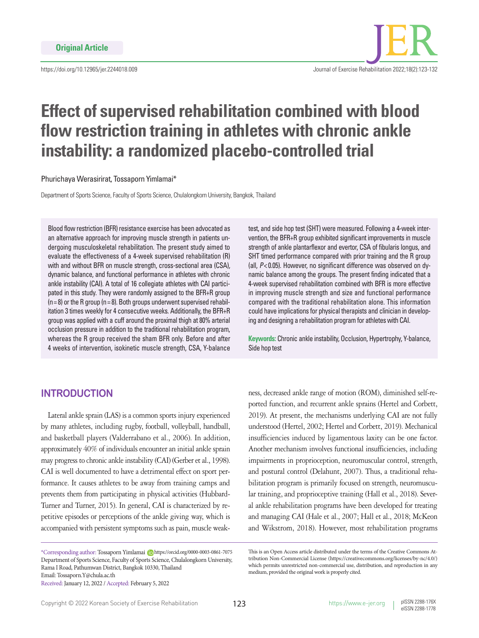

# **Effect of supervised rehabilitation combined with blood flow restriction training in athletes with chronic ankle instability: a randomized placebo-controlled trial**

#### Phurichaya Werasirirat, Tossaporn Yimlamai\*

Department of Sports Science, Faculty of Sports Science, Chulalongkorn University, Bangkok, Thailand

Blood flow restriction (BFR) resistance exercise has been advocated as an alternative approach for improving muscle strength in patients undergoing musculoskeletal rehabilitation. The present study aimed to evaluate the effectiveness of a 4-week supervised rehabilitation (R) with and without BFR on muscle strength, cross-sectional area (CSA), dynamic balance, and functional performance in athletes with chronic ankle instability (CAI). A total of 16 collegiate athletes with CAI participated in this study. They were randomly assigned to the BFR+R group  $(n=8)$  or the R group (n=8). Both groups underwent supervised rehabilitation 3 times weekly for 4 consecutive weeks. Additionally, the BFR+R group was applied with a cuff around the proximal thigh at 80% arterial occlusion pressure in addition to the traditional rehabilitation program, whereas the R group received the sham BFR only. Before and after 4 weeks of intervention, isokinetic muscle strength, CSA, Y-balance test, and side hop test (SHT) were measured. Following a 4-week intervention, the BFR+R group exhibited significant improvements in muscle strength of ankle plantarflexor and evertor, CSA of fibularis longus, and SHT timed performance compared with prior training and the R group (all, *P*< 0.05). However, no significant difference was observed on dynamic balance among the groups. The present finding indicated that a 4-week supervised rehabilitation combined with BFR is more effective in improving muscle strength and size and functional performance compared with the traditional rehabilitation alone. This information could have implications for physical therapists and clinician in developing and designing a rehabilitation program for athletes with CAI.

**Keywords:** Chronic ankle instability, Occlusion, Hypertrophy, Y-balance, Side hop test

# **INTRODUCTION**

Lateral ankle sprain (LAS) is a common sports injury experienced by many athletes, including rugby, football, volleyball, handball, and basketball players (Valderrabano et al., 2006). In addition, approximately 40% of individuals encounter an initial ankle sprain may progress to chronic ankle instability (CAI) (Gerber et al., 1998). CAI is well documented to have a detrimental effect on sport performance. It causes athletes to be away from training camps and prevents them from participating in physical activities (Hubbard-Turner and Turner, 2015). In general, CAI is characterized by repetitive episodes or perceptions of the ankle giving way, which is accompanied with persistent symptoms such as pain, muscle weak-

\*Corresponding author: Tossaporn Yimlamai Dhttps://orcid.org/0000-0003-0861-7075 Department of Sports Science, Faculty of Sports Science, Chulalongkorn University, Rama I Road, Pathumwan District, Bangkok 10330, Thailand Email: Tossaporn.Y@chula.ac.th Received: January 12, 2022 / Accepted: February 5, 2022

ness, decreased ankle range of motion (ROM), diminished self-reported function, and recurrent ankle sprains (Hertel and Corbett, 2019). At present, the mechanisms underlying CAI are not fully understood (Hertel, 2002; Hertel and Corbett, 2019). Mechanical insufficiencies induced by ligamentous laxity can be one factor. Another mechanism involves functional insufficiencies, including impairments in proprioception, neuromuscular control, strength, and postural control (Delahunt, 2007). Thus, a traditional rehabilitation program is primarily focused on strength, neuromuscular training, and proprioceptive training (Hall et al., 2018). Several ankle rehabilitation programs have been developed for treating and managing CAI (Hale et al., 2007; Hall et al., 2018; McKeon and Wikstrom, 2018). However, most rehabilitation programs

This is an Open Access article distributed under the terms of the Creative Commons Attribution Non-Commercial License (https://creativecommons.org/licenses/by-nc/4.0/) which permits unrestricted non-commercial use, distribution, and reproduction in any medium, provided the original work is properly cited.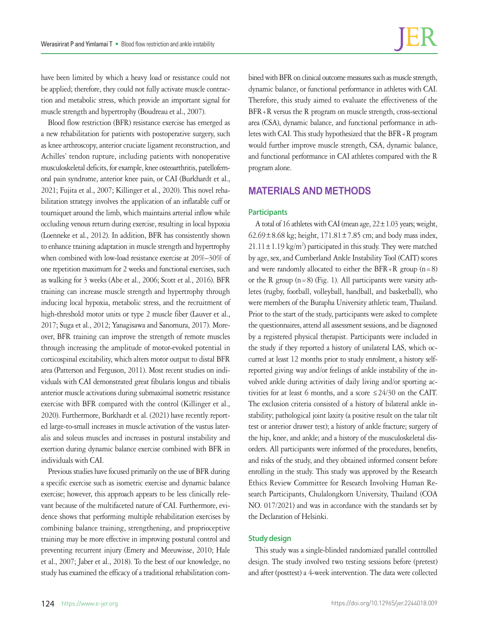have been limited by which a heavy load or resistance could not be applied; therefore, they could not fully activate muscle contraction and metabolic stress, which provide an important signal for muscle strength and hypertrophy (Boudreau et al., 2007).

Blood flow restriction (BFR) resistance exercise has emerged as a new rehabilitation for patients with postoperative surgery, such as knee arthroscopy, anterior cruciate ligament reconstruction, and Achilles' tendon rupture, including patients with nonoperative musculoskeletal deficits, for example, knee osteoarthritis, patellofemoral pain syndrome, anterior knee pain, or CAI (Burkhardt et al., 2021; Fujita et al., 2007; Killinger et al., 2020). This novel rehabilitation strategy involves the application of an inflatable cuff or tourniquet around the limb, which maintains arterial inflow while occluding venous return during exercise, resulting in local hypoxia (Loenneke et al., 2012). In addition, BFR has consistently shown to enhance training adaptation in muscle strength and hypertrophy when combined with low-load resistance exercise at 20%–30% of one repetition maximum for 2 weeks and functional exercises, such as walking for 3 weeks (Abe et al., 2006; Scott et al., 2016). BFR training can increase muscle strength and hypertrophy through inducing local hypoxia, metabolic stress, and the recruitment of high-threshold motor units or type 2 muscle fiber (Lauver et al., 2017; Suga et al., 2012; Yanagisawa and Sanomura, 2017). Moreover, BFR training can improve the strength of remote muscles through increasing the amplitude of motor-evoked potential in corticospinal excitability, which alters motor output to distal BFR area (Patterson and Ferguson, 2011). Most recent studies on individuals with CAI demonstrated great fibularis longus and tibialis anterior muscle activations during submaximal isometric resistance exercise with BFR compared with the control (Killinger et al., 2020). Furthermore, Burkhardt et al. (2021) have recently reported large-to-small increases in muscle activation of the vastus lateralis and soleus muscles and increases in postural instability and exertion during dynamic balance exercise combined with BFR in individuals with CAI.

Previous studies have focused primarily on the use of BFR during a specific exercise such as isometric exercise and dynamic balance exercise; however, this approach appears to be less clinically relevant because of the multifaceted nature of CAI. Furthermore, evidence shows that performing multiple rehabilitation exercises by combining balance training, strengthening, and proprioceptive training may be more effective in improving postural control and preventing recurrent injury (Emery and Meeuwisse, 2010; Hale et al., 2007; Jaber et al., 2018). To the best of our knowledge, no study has examined the efficacy of a traditional rehabilitation combined with BFR on clinical outcome measures such as muscle strength, dynamic balance, or functional performance in athletes with CAI. Therefore, this study aimed to evaluate the effectiveness of the BFR+R versus the R program on muscle strength, cross-sectional area (CSA), dynamic balance, and functional performance in athletes with CAI. This study hypothesized that the BFR+R program would further improve muscle strength, CSA, dynamic balance, and functional performance in CAI athletes compared with the R program alone.

# **MATERIALS AND METHODS**

## **Participants**

A total of 16 athletes with CAI (mean age,  $22 \pm 1.03$  years; weight,  $62.69 \pm 8.68$  kg; height,  $171.81 \pm 7.85$  cm; and body mass index,  $21.11 \pm 1.19$  kg/m<sup>2</sup>) participated in this study. They were matched by age, sex, and Cumberland Ankle Instability Tool (CAIT) scores and were randomly allocated to either the BFR+R group  $(n=8)$ or the R group  $(n=8)$  (Fig. 1). All participants were varsity athletes (rugby, football, volleyball, handball, and basketball), who were members of the Burapha University athletic team, Thailand. Prior to the start of the study, participants were asked to complete the questionnaires, attend all assessment sessions, and be diagnosed by a registered physical therapist. Participants were included in the study if they reported a history of unilateral LAS, which occurred at least 12 months prior to study enrolment, a history selfreported giving way and/or feelings of ankle instability of the involved ankle during activities of daily living and/or sporting activities for at least 6 months, and a score ≤24/30 on the CAIT. The exclusion criteria consisted of a history of bilateral ankle instability; pathological joint laxity (a positive result on the talar tilt test or anterior drawer test); a history of ankle fracture; surgery of the hip, knee, and ankle; and a history of the musculoskeletal disorders. All participants were informed of the procedures, benefits, and risks of the study, and they obtained informed consent before enrolling in the study. This study was approved by the Research Ethics Review Committee for Research Involving Human Research Participants, Chulalongkorn University, Thailand (COA NO. 017/2021) and was in accordance with the standards set by the Declaration of Helsinki.

## **Study design**

This study was a single-blinded randomized parallel controlled design. The study involved two testing sessions before (pretest) and after (posttest) a 4-week intervention. The data were collected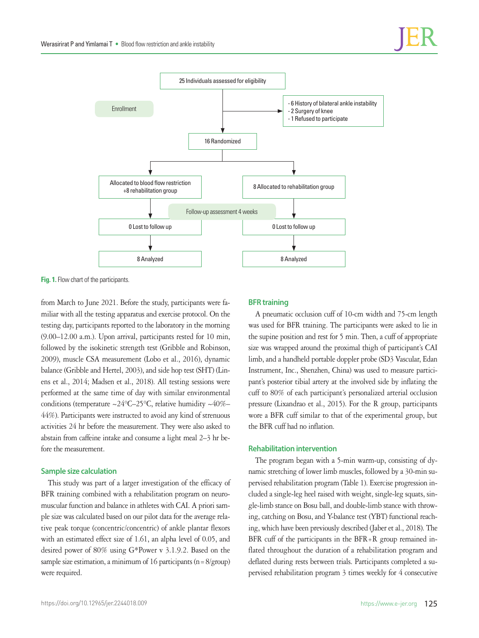

**Fig. 1.** Flow chart of the participants.

from March to June 2021. Before the study, participants were familiar with all the testing apparatus and exercise protocol. On the testing day, participants reported to the laboratory in the morning (9.00–12.00 a.m.). Upon arrival, participants rested for 10 min, followed by the isokinetic strength test (Gribble and Robinson, 2009), muscle CSA measurement (Lobo et al., 2016), dynamic balance (Gribble and Hertel, 2003), and side hop test (SHT) (Linens et al., 2014; Madsen et al., 2018). All testing sessions were performed at the same time of day with similar environmental conditions (temperature  $\sim$ 24°C–25°C, relative humidity  $\sim$ 40%– 44%). Participants were instructed to avoid any kind of strenuous activities 24 hr before the measurement. They were also asked to abstain from caffeine intake and consume a light meal 2–3 hr before the measurement.

## **Sample size calculation**

This study was part of a larger investigation of the efficacy of BFR training combined with a rehabilitation program on neuromuscular function and balance in athletes with CAI. A priori sample size was calculated based on our pilot data for the average relative peak torque (concentric/concentric) of ankle plantar flexors with an estimated effect size of 1.61, an alpha level of 0.05, and desired power of 80% using G\*Power v 3.1.9.2. Based on the sample size estimation, a minimum of 16 participants ( $n=8/$ group) were required.

## **BFR training**

A pneumatic occlusion cuff of 10-cm width and 75-cm length was used for BFR training. The participants were asked to lie in the supine position and rest for 5 min. Then, a cuff of appropriate size was wrapped around the proximal thigh of participant's CAI limb, and a handheld portable doppler probe (SD3 Vascular, Edan Instrument, Inc., Shenzhen, China) was used to measure participant's posterior tibial artery at the involved side by inflating the cuff to 80% of each participant's personalized arterial occlusion pressure (Lixandrao et al., 2015). For the R group, participants wore a BFR cuff similar to that of the experimental group, but the BFR cuff had no inflation.

### **Rehabilitation intervention**

The program began with a 5-min warm-up, consisting of dynamic stretching of lower limb muscles, followed by a 30-min supervised rehabilitation program (Table 1). Exercise progression included a single-leg heel raised with weight, single-leg squats, single-limb stance on Bosu ball, and double-limb stance with throwing, catching on Bosu, and Y-balance test (YBT) functional reaching, which have been previously described (Jaber et al., 2018). The BFR cuff of the participants in the BFR+R group remained inflated throughout the duration of a rehabilitation program and deflated during rests between trials. Participants completed a supervised rehabilitation program 3 times weekly for 4 consecutive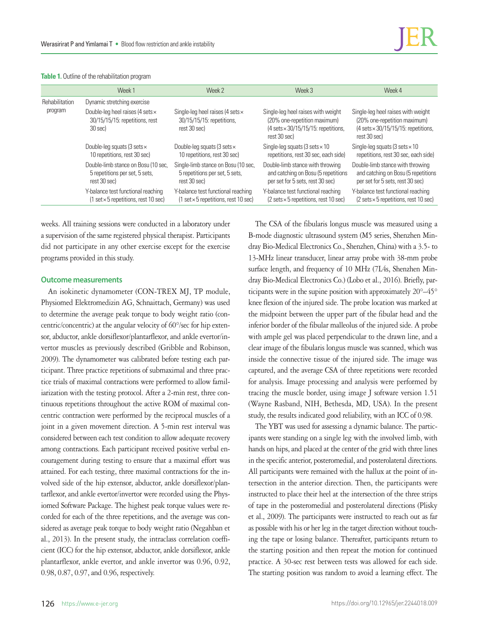| Table 1. Outline of the rehabilitation program |  |
|------------------------------------------------|--|
|------------------------------------------------|--|

|                           | Week 1                                                                                                            | Week 2                                                                                                            | Week 3                                                                                                                                     | Week 4                                                                                                                                     |
|---------------------------|-------------------------------------------------------------------------------------------------------------------|-------------------------------------------------------------------------------------------------------------------|--------------------------------------------------------------------------------------------------------------------------------------------|--------------------------------------------------------------------------------------------------------------------------------------------|
| Rehabilitation<br>program | Dynamic stretching exercise                                                                                       |                                                                                                                   |                                                                                                                                            |                                                                                                                                            |
|                           | Double-leg heel raises (4 sets $\times$<br>30/15/15/15: repetitions, rest<br>30 sec)                              | Single-leg heel raises (4 sets $\times$<br>30/15/15/15: repetitions,<br>rest 30 sec)                              | Single-leg heel raises with weight<br>(20% one-repetition maximum)<br>$(4 \text{ sets} \times 30/15/15/15)$ : repetitions,<br>rest 30 sec) | Single-leg heel raises with weight<br>(20% one-repetition maximum)<br>$(4 \text{ sets} \times 30/15/15/15)$ : repetitions,<br>rest 30 sec) |
|                           | Double-leg squats (3 sets $\times$<br>10 repetitions, rest 30 sec)                                                | Double-leg squats (3 sets $\times$<br>10 repetitions, rest 30 sec)                                                | Single-leg squats (3 sets $\times$ 10<br>repetitions, rest 30 sec, each side)                                                              | Single-leg squats (3 sets $\times$ 10<br>repetitions, rest 30 sec, each side)                                                              |
|                           | Double-limb stance on Bosu (10 sec.<br>5 repetitions per set, 5 sets,<br>rest 30 sec)                             | Single-limb stance on Bosu (10 sec.<br>5 repetitions per set, 5 sets,<br>rest 30 sec)                             | Double-limb stance with throwing<br>and catching on Bosu (5 repetitions<br>per set for 5 sets, rest 30 sec)                                | Double-limb stance with throwing<br>and catching on Bosu (5 repetitions<br>per set for 5 sets, rest 30 sec)                                |
|                           | Y-balance test functional reaching<br>$(1 \text{ set} \times 5 \text{ repetitions}, \text{rest } 10 \text{ sec})$ | Y-balance test functional reaching<br>$(1 \text{ set} \times 5 \text{ repetitions}, \text{rest } 10 \text{ sec})$ | Y-balance test functional reaching<br>$(2 \text{ sets} \times 5 \text{ repetitions}, \text{rest} 10 \text{ sec})$                          | Y-balance test functional reaching<br>$(2 \text{ sets} \times 5 \text{ repetitions}, \text{rest } 10 \text{ sec})$                         |

weeks. All training sessions were conducted in a laboratory under a supervision of the same registered physical therapist. Participants did not participate in any other exercise except for the exercise programs provided in this study.

## **Outcome measurements**

An isokinetic dynamometer (CON-TREX MJ, TP module, Physiomed Elektromedizin AG, Schnaittach, Germany) was used to determine the average peak torque to body weight ratio (concentric/concentric) at the angular velocity of 60°/sec for hip extensor, abductor, ankle dorsiflexor/plantarflexor, and ankle evertor/invertor muscles as previously described (Gribble and Robinson, 2009). The dynamometer was calibrated before testing each participant. Three practice repetitions of submaximal and three practice trials of maximal contractions were performed to allow familiarization with the testing protocol. After a 2-min rest, three continuous repetitions throughout the active ROM of maximal concentric contraction were performed by the reciprocal muscles of a joint in a given movement direction. A 5-min rest interval was considered between each test condition to allow adequate recovery among contractions. Each participant received positive verbal encouragement during testing to ensure that a maximal effort was attained. For each testing, three maximal contractions for the involved side of the hip extensor, abductor, ankle dorsiflexor/plantarflexor, and ankle evertor/invertor were recorded using the Physiomed Software Package. The highest peak torque values were recorded for each of the three repetitions, and the average was considered as average peak torque to body weight ratio (Negahban et al., 2013). In the present study, the intraclass correlation coefficient (ICC) for the hip extensor, abductor, ankle dorsiflexor, ankle plantarflexor, ankle evertor, and ankle invertor was 0.96, 0.92, 0.98, 0.87, 0.97, and 0.96, respectively.

The CSA of the fibularis longus muscle was measured using a B-mode diagnostic ultrasound system (M5 series, Shenzhen Mindray Bio-Medical Electronics Co., Shenzhen, China) with a 3.5- to 13-MHz linear transducer, linear array probe with 38-mm probe surface length, and frequency of 10 MHz (7L4s, Shenzhen Mindray Bio-Medical Electronics Co.) (Lobo et al., 2016). Briefly, participants were in the supine position with approximately 20°–45° knee flexion of the injured side. The probe location was marked at the midpoint between the upper part of the fibular head and the inferior border of the fibular malleolus of the injured side. A probe with ample gel was placed perpendicular to the drawn line, and a clear image of the fibularis longus muscle was scanned, which was inside the connective tissue of the injured side. The image was captured, and the average CSA of three repetitions were recorded for analysis. Image processing and analysis were performed by tracing the muscle border, using image J software version 1.51 (Wayne Rasband, NIH, Bethesda, MD, USA). In the present study, the results indicated good reliability, with an ICC of 0.98.

The YBT was used for assessing a dynamic balance. The participants were standing on a single leg with the involved limb, with hands on hips, and placed at the center of the grid with three lines in the specific anterior, posteromedial, and posterolateral directions. All participants were remained with the hallux at the point of intersection in the anterior direction. Then, the participants were instructed to place their heel at the intersection of the three strips of tape in the posteromedial and posterolateral directions (Plisky et al., 2009). The participants were instructed to reach out as far as possible with his or her leg in the target direction without touching the tape or losing balance. Thereafter, participants return to the starting position and then repeat the motion for continued practice. A 30-sec rest between tests was allowed for each side. The starting position was random to avoid a learning effect. The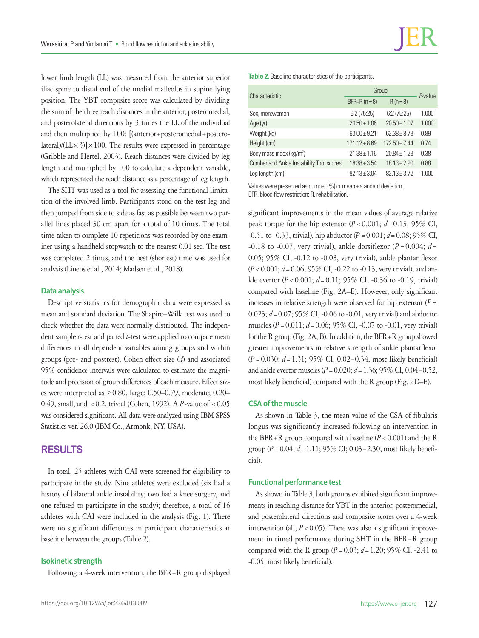lower limb length (LL) was measured from the anterior superior iliac spine to distal end of the medial malleolus in supine lying position. The YBT composite score was calculated by dividing the sum of the three reach distances in the anterior, posteromedial, and posterolateral directions by 3 times the LL of the individual and then multiplied by 100: [(anterior+posteromedial+posterolateral)/( $LL \times 3$ )] $\times 100$ . The results were expressed in percentage (Gribble and Hertel, 2003). Reach distances were divided by leg length and multiplied by 100 to calculate a dependent variable, which represented the reach distance as a percentage of leg length.

The SHT was used as a tool for assessing the functional limitation of the involved limb. Participants stood on the test leg and then jumped from side to side as fast as possible between two parallel lines placed 30 cm apart for a total of 10 times. The total time taken to complete 10 repetitions was recorded by one examiner using a handheld stopwatch to the nearest 0.01 sec. The test was completed 2 times, and the best (shortest) time was used for analysis (Linens et al., 2014; Madsen et al., 2018).

#### **Data analysis**

Descriptive statistics for demographic data were expressed as mean and standard deviation. The Shapiro–Wilk test was used to check whether the data were normally distributed. The independent sample *t*-test and paired *t*-test were applied to compare mean differences in all dependent variables among groups and within groups (pre- and posttest). Cohen effect size (*d*) and associated 95% confidence intervals were calculated to estimate the magnitude and precision of group differences of each measure. Effect sizes were interpreted as ≥0.80, large; 0.50–0.79, moderate; 0.20– 0.49, small; and <0.2, trivial (Cohen, 1992). A *P*-value of <0.05 was considered significant. All data were analyzed using IBM SPSS Statistics ver. 26.0 (IBM Co., Armonk, NY, USA).

# **RESULTS**

In total, 25 athletes with CAI were screened for eligibility to participate in the study. Nine athletes were excluded (six had a history of bilateral ankle instability; two had a knee surgery, and one refused to participate in the study); therefore, a total of 16 athletes with CAI were included in the analysis (Fig. 1). There were no significant differences in participant characteristics at baseline between the groups (Table 2).

## **Isokinetic strength**

Following a 4-week intervention, the BFR+R group displayed

**Table 2.** Baseline characteristics of the participants.

| Characteristic                                  | Group             | $P$ -value        |       |  |
|-------------------------------------------------|-------------------|-------------------|-------|--|
|                                                 | $BFR+R (n=8)$     | $R(n=8)$          |       |  |
| Sex, men:women                                  | 6:2(75:25)        | 6:2(75:25)        | 1.000 |  |
| Age (yr)                                        | $20.50 \pm 1.06$  | $20.50 \pm 1.07$  | 1.000 |  |
| Weight (kg)                                     | $63.00 + 9.21$    | $62.38 + 8.73$    | 0.89  |  |
| Height (cm)                                     | $171.12 \pm 8.69$ | $172.50 \pm 7.44$ | 0.74  |  |
| Body mass index (kg/m <sup>2</sup> )            | $21.38 \pm 1.16$  | $20.84 \pm 1.23$  | 0.38  |  |
| <b>Cumberland Ankle Instability Tool scores</b> | $18.38 \pm 3.54$  | $18.13 \pm 2.90$  | 0.88  |  |
| Leg length (cm)                                 | $82.13 \pm 3.04$  | $82.13 \pm 3.72$  | 1.000 |  |

Values were presented as number (%) or mean± standard deviation. BFR, blood flow restriction; R, rehabilitation.

significant improvements in the mean values of average relative peak torque for the hip extensor  $(P < 0.001; d = 0.13, 95\% \text{ CI}$ , -0.51 to -0.33, trivial), hip abductor (*P*=0.001; *d*=0.08; 95% CI, -0.18 to -0.07, very trivial), ankle dorsiflexor ( $P = 0.004$ ;  $d=$ 0.05; 95% CI, -0.12 to -0.03, very trivial), ankle plantar flexor (*P*<0.001; *d*=0.06; 95% CI, -0.22 to -0.13, very trivial), and ankle evertor (*P*<0.001; *d*=0.11; 95% CI, -0.36 to -0.19, trivial) compared with baseline (Fig. 2A–E). However, only significant increases in relative strength were observed for hip extensor  $(P =$ 0.023; *d*=0.07; 95% CI, -0.06 to -0.01, very trivial) and abductor muscles (*P*=0.011; *d*=0.06; 95% CI, -0.07 to -0.01, very trivial) for the R group (Fig. 2A, B). In addition, the BFR+R group showed greater improvements in relative strength of ankle plantarflexor (*P*=0.030; *d*=1.31; 95% CI, 0.02−0.34, most likely beneficial) and ankle evertor muscles (*P*=0.020; *d*=1.36; 95% CI, 0.04−0.52, most likely beneficial) compared with the R group (Fig. 2D–E).

## **CSA of the muscle**

As shown in Table 3, the mean value of the CSA of fibularis longus was significantly increased following an intervention in the BFR+R group compared with baseline  $(P < 0.001)$  and the R group (*P*=0.04; *d*=1.11; 95% CI; 0.03−2.30, most likely beneficial).

#### **Functional performance test**

As shown in Table 3, both groups exhibited significant improvements in reaching distance for YBT in the anterior, posteromedial, and posterolateral directions and composite scores over a 4-week intervention (all,  $P < 0.05$ ). There was also a significant improvement in timed performance during SHT in the BFR+R group compared with the R group  $(P = 0.03; d = 1.20; 95\% \text{ CI}, -2.41 \text{ to}$ -0.05, most likely beneficial).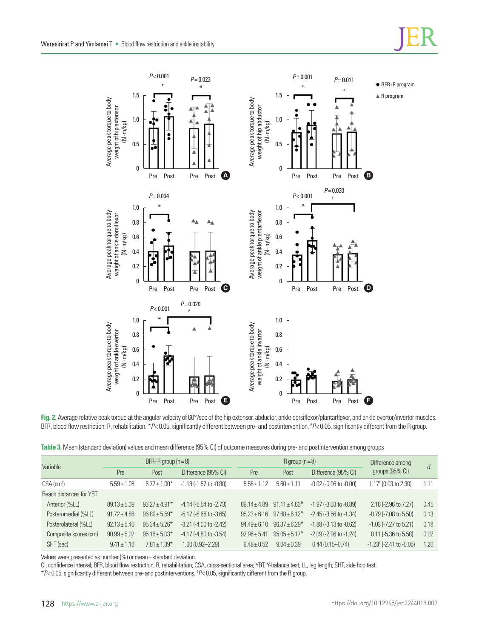

**Fig. 2.** Average relative peak torque at the angular velocity of 60°/sec of the hip extensor, abductor, ankle dorsiflexor/plantarflexor, and ankle evertor/invertor muscles. BFR, blood flow restriction; R, rehabilitation. \* P< 0.05, significantly different between pre- and postintervention. \* P< 0.05, significantly different from the R group.

| Table 3. Mean (standard deviation) values and mean difference (95% CI) of outcome measures during pre- and postintervention among groups |  |  |  |
|------------------------------------------------------------------------------------------------------------------------------------------|--|--|--|
|------------------------------------------------------------------------------------------------------------------------------------------|--|--|--|

| Variable                 | BFR+R group $(n=8)$ |                   | $R$ group $(n=8)$              |                     |                   | Difference among                 | d                                           |      |
|--------------------------|---------------------|-------------------|--------------------------------|---------------------|-------------------|----------------------------------|---------------------------------------------|------|
|                          | Pre                 | Post              | Difference (95% CI)            | Pre                 | Post              | Difference (95% CI)              | groups $(95% \text{ Cl})$                   |      |
| $CSA$ (cm <sup>2</sup> ) | $5.59 \pm 1.08$     | $6.77 \pm 1.00*$  | $-1.18(-1.57)$ to $-0.80$ )    | $5.58 \pm 1$<br>.12 | $5.60 \pm 1.11$   | $-0.02$ $(-0.06$ to $-0.00)$     | $1.17$ <sup>t</sup> (0.03 to 2.30)          | 1.11 |
| Reach distances for YBT  |                     |                   |                                |                     |                   |                                  |                                             |      |
| Anterior (%LL)           | $89.13 \pm 5.09$    | $93.27 \pm 4.91*$ | $-4.14$ ( $-5.54$ to $-2.73$ ) | $89.14 \pm 4.89$    | $91.11 \pm 4.63*$ | $-1.97$ ( $-3.03$ to $-0.89$ )   | 2.16 (-2.96 to 7.27)                        | 0.45 |
| Posteromedial (%LL)      | $91.72 \pm 4.86$    | $96.89 \pm 5.59*$ | $-5.17$ ( $-6.68$ to $-3.65$ ) | $95.23 + 6.16$      | $97.68 \pm 6.12*$ | $-2.45(-3.56 \text{ to } -1.34)$ | $-0.79$ ( $-7.08$ to 5.50)                  | 0.13 |
| Posterolateral (%LL)     | $92.13 \pm 5.40$    | $95.34 \pm 5.26*$ | $-3.21$ $(-4.00$ to $-2.42)$   | $94.49 + 6.10$      | $96.37 \pm 6.29*$ | $-1.88(-3.13$ to $-0.62)$        | $-1.03$ ( $-7.27$ to 5.21)                  | 0.18 |
| Composite scores (cm)    | $90.99 \pm 5.02$    | $95.16 \pm 5.03*$ | $-4.17$ $(-4.80$ to $-3.54)$   | $92.96 \pm 5.41$    | $95.05 \pm 5.17*$ | $-2.09$ $(-2.96$ to $-1.24)$     | $0.11$ ( $-5.36$ to $5.58$ )                | 0.02 |
| SHT (sec)                | $9.41 \pm 1.16$     | $7.81 \pm 1.39*$  | 1.60 (0.92-2.29)               | $9.48 \pm 0.52$     | $9.04 \pm 0.39$   | $0.44(0.15 - 0.74)$              | $-1.23$ <sup>†</sup> ( $-2.41$ to $-0.05$ ) | 1.20 |

Values were presented as number (%) or mean± standard deviation.

CI, confidence interval; BFR, blood flow restriction; R, rehabilitation; CSA, cross-sectional area; YBT, Y-balance test; LL, leg length; SHT, side hop test.

\**P*< 0.05, significantly different between pre- and postinterventions. † *P*< 0.05, significantly different from the R group.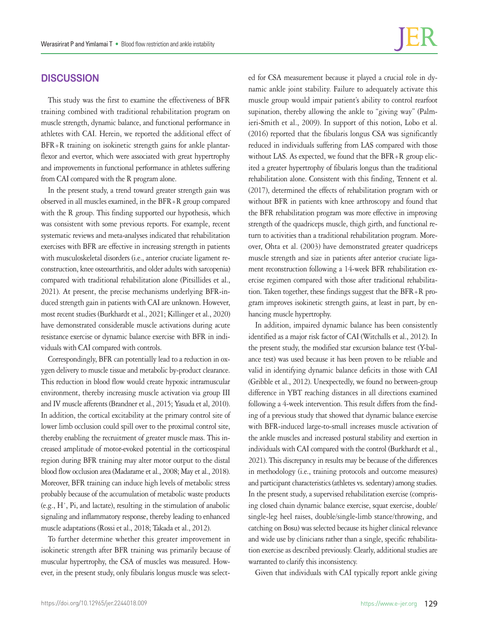# **DISCUSSION**

This study was the first to examine the effectiveness of BFR training combined with traditional rehabilitation program on muscle strength, dynamic balance, and functional performance in athletes with CAI. Herein, we reported the additional effect of BFR+R training on isokinetic strength gains for ankle plantarflexor and evertor, which were associated with great hypertrophy and improvements in functional performance in athletes suffering from CAI compared with the R program alone.

In the present study, a trend toward greater strength gain was observed in all muscles examined, in the BFR+R group compared with the R group. This finding supported our hypothesis, which was consistent with some previous reports. For example, recent systematic reviews and meta-analyses indicated that rehabilitation exercises with BFR are effective in increasing strength in patients with musculoskeletal disorders (i.e., anterior cruciate ligament reconstruction, knee osteoarthritis, and older adults with sarcopenia) compared with traditional rehabilitation alone (Pitsillides et al., 2021). At present, the precise mechanisms underlying BFR-induced strength gain in patients with CAI are unknown. However, most recent studies (Burkhardt et al., 2021; Killinger et al., 2020) have demonstrated considerable muscle activations during acute resistance exercise or dynamic balance exercise with BFR in individuals with CAI compared with controls.

Correspondingly, BFR can potentially lead to a reduction in oxygen delivery to muscle tissue and metabolic by-product clearance. This reduction in blood flow would create hypoxic intramuscular environment, thereby increasing muscle activation via group III and IV muscle afferents (Brandner et al., 2015; Yasuda et al, 2010). In addition, the cortical excitability at the primary control site of lower limb occlusion could spill over to the proximal control site, thereby enabling the recruitment of greater muscle mass. This increased amplitude of motor-evoked potential in the corticospinal region during BFR training may alter motor output to the distal blood flow occlusion area (Madarame et al., 2008; May et al., 2018). Moreover, BFR training can induce high levels of metabolic stress probably because of the accumulation of metabolic waste products (e.g., H<sup>+</sup>, Pi, and lactate), resulting in the stimulation of anabolic signaling and inflammatory response, thereby leading to enhanced muscle adaptations (Rossi et al., 2018; Takada et al., 2012).

To further determine whether this greater improvement in isokinetic strength after BFR training was primarily because of muscular hypertrophy, the CSA of muscles was measured. However, in the present study, only fibularis longus muscle was selected for CSA measurement because it played a crucial role in dynamic ankle joint stability. Failure to adequately activate this muscle group would impair patient's ability to control rearfoot supination, thereby allowing the ankle to "giving way" (Palmieri-Smith et al., 2009). In support of this notion, Lobo et al. (2016) reported that the fibularis longus CSA was significantly reduced in individuals suffering from LAS compared with those without LAS. As expected, we found that the BFR+R group elicited a greater hypertrophy of fibularis longus than the traditional rehabilitation alone. Consistent with this finding, Tennent et al. (2017), determined the effects of rehabilitation program with or without BFR in patients with knee arthroscopy and found that the BFR rehabilitation program was more effective in improving strength of the quadriceps muscle, thigh girth, and functional return to activities than a traditional rehabilitation program. Moreover, Ohta et al. (2003) have demonstrated greater quadriceps muscle strength and size in patients after anterior cruciate ligament reconstruction following a 14-week BFR rehabilitation exercise regimen compared with those after traditional rehabilitation. Taken together, these findings suggest that the BFR+R program improves isokinetic strength gains, at least in part, by enhancing muscle hypertrophy.

In addition, impaired dynamic balance has been consistently identified as a major risk factor of CAI (Witchalls et al., 2012). In the present study, the modified star excursion balance test (Y-balance test) was used because it has been proven to be reliable and valid in identifying dynamic balance deficits in those with CAI (Gribble et al., 2012). Unexpectedly, we found no between-group difference in YBT reaching distances in all directions examined following a 4-week intervention. This result differs from the finding of a previous study that showed that dynamic balance exercise with BFR-induced large-to-small increases muscle activation of the ankle muscles and increased postural stability and exertion in individuals with CAI compared with the control (Burkhardt et al., 2021). This discrepancy in results may be because of the differences in methodology (i.e., training protocols and outcome measures) and participant characteristics (athletes vs. sedentary) among studies. In the present study, a supervised rehabilitation exercise (comprising closed chain dynamic balance exercise, squat exercise, double/ single-leg heel raises, double/single-limb stance/throwing, and catching on Bosu) was selected because its higher clinical relevance and wide use by clinicians rather than a single, specific rehabilitation exercise as described previously. Clearly, additional studies are warranted to clarify this inconsistency.

Given that individuals with CAI typically report ankle giving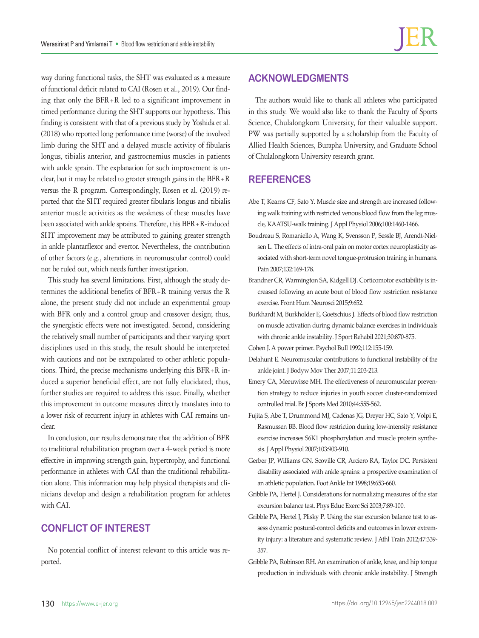way during functional tasks, the SHT was evaluated as a measure of functional deficit related to CAI (Rosen et al., 2019). Our finding that only the BFR+R led to a significant improvement in timed performance during the SHT supports our hypothesis. This finding is consistent with that of a previous study by Yoshida et al. (2018) who reported long performance time (worse) of the involved limb during the SHT and a delayed muscle activity of fibularis longus, tibialis anterior, and gastrocnemius muscles in patients with ankle sprain. The explanation for such improvement is unclear, but it may be related to greater strength gains in the BFR+R versus the R program. Correspondingly, Rosen et al. (2019) reported that the SHT required greater fibularis longus and tibialis anterior muscle activities as the weakness of these muscles have been associated with ankle sprains. Therefore, this BFR+R-induced SHT improvement may be attributed to gaining greater strength in ankle plantarflexor and evertor. Nevertheless, the contribution of other factors (e.g., alterations in neuromuscular control) could not be ruled out, which needs further investigation.

This study has several limitations. First, although the study determines the additional benefits of BFR+R training versus the R alone, the present study did not include an experimental group with BFR only and a control group and crossover design; thus, the synergistic effects were not investigated. Second, considering the relatively small number of participants and their varying sport disciplines used in this study, the result should be interpreted with cautions and not be extrapolated to other athletic populations. Third, the precise mechanisms underlying this BFR+R induced a superior beneficial effect, are not fully elucidated; thus, further studies are required to address this issue. Finally, whether this improvement in outcome measures directly translates into to a lower risk of recurrent injury in athletes with CAI remains unclear.

In conclusion, our results demonstrate that the addition of BFR to traditional rehabilitation program over a 4-week period is more effective in improving strength gain, hypertrophy, and functional performance in athletes with CAI than the traditional rehabilitation alone. This information may help physical therapists and clinicians develop and design a rehabilitation program for athletes with CAI.

# **CONFLICT OF INTEREST**

No potential conflict of interest relevant to this article was reported.

# **ACKNOWLEDGMENTS**

The authors would like to thank all athletes who participated in this study. We would also like to thank the Faculty of Sports Science, Chulalongkorn University, for their valuable support. PW was partially supported by a scholarship from the Faculty of Allied Health Sciences, Burapha University, and Graduate School of Chulalongkorn University research grant.

# **REFERENCES**

- Abe T, Kearns CF, Sato Y. Muscle size and strength are increased following walk training with restricted venous blood flow from the leg muscle, KAATSU-walk training. J Appl Physiol 2006;100:1460-1466.
- Boudreau S, Romaniello A, Wang K, Svensson P, Sessle BJ, Arendt-Nielsen L. The effects of intra-oral pain on motor cortex neuroplasticity associated with short-term novel tongue-protrusion training in humans. Pain 2007;132:169-178.
- Brandner CR, Warmington SA, Kidgell DJ. Corticomotor excitability is increased following an acute bout of blood flow restriction resistance exercise. Front Hum Neurosci 2015;9:652.
- Burkhardt M, Burkholder E, Goetschius J. Effects of blood flow restriction on muscle activation during dynamic balance exercises in individuals with chronic ankle instability. J Sport Rehabil 2021;30:870-875.
- Cohen J. A power primer. Psychol Bull 1992;112:155-159.
- Delahunt E. Neuromuscular contributions to functional instability of the ankle joint. J Bodyw Mov Ther 2007;11:203-213.
- Emery CA, Meeuwisse MH. The effectiveness of neuromuscular prevention strategy to reduce injuries in youth soccer cluster-randomized controlled trial. Br J Sports Med 2010;44:555-562.
- Fujita S, Abe T, Drummond MJ, Cadenas JG, Dreyer HC, Sato Y, Volpi E, Rasmussen BB. Blood flow restriction during low-intensity resistance exercise increases S6K1 phosphorylation and muscle protein synthesis. J Appl Physiol 2007;103:903-910.
- Gerber JP, Williams GN, Scoville CR, Arciero RA, Taylor DC. Persistent disability associated with ankle sprains: a prospective examination of an athletic population. Foot Ankle Int 1998;19:653-660.
- Gribble PA, Hertel J. Considerations for normalizing measures of the star excursion balance test. Phys Educ Exerc Sci 2003;7:89-100.
- Gribble PA, Hertel J, Plisky P. Using the star excursion balance test to assess dynamic postural-control deficits and outcomes in lower extremity injury: a literature and systematic review. J Athl Train 2012;47:339- 357.
- Gribble PA, Robinson RH. An examination of ankle, knee, and hip torque production in individuals with chronic ankle instability. J Strength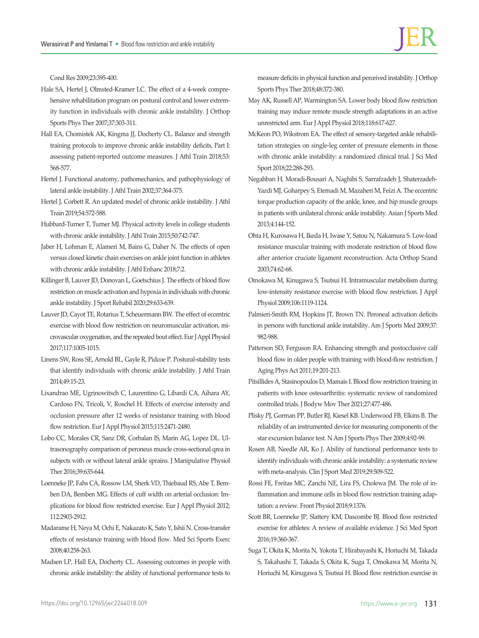Cond Res 2009;23:395-400.

- Hale SA, Hertel J, Olmsted-Kramer LC. The effect of a 4-week comprehensive rehabilitation program on postural control and lower extremity function in individuals with chronic ankle instability. J Orthop Sports Phys Ther 2007;37:303-311.
- Hall EA, Chomistek AK, Kingma JJ, Docherty CL. Balance and strength training protocols to improve chronic ankle instability deficits, Part I: assessing patient-reported outcome measures. J Athl Train 2018;53: 568-577.
- Hertel J. Functional anatomy, pathomechanics, and pathophysiology of lateral ankle instability. J Athl Train 2002;37:364-375.
- Hertel J, Corbett R. An updated model of chronic ankle instability. J Athl Train 2019;54:572-588.
- Hubbard-Turner T, Turner MJ. Physical activity levels in college students with chronic ankle instability. J Athl Train 2015;50:742-747.
- Jaber H, Lohman E, Alameri M, Bains G, Daher N. The effects of open versus closed kinetic chain exercises on ankle joint function in athletes with chronic ankle instability. J Athl Enhanc 2018;7:2.
- Killinger B, Lauver JD, Donovan L, Goetschius J. The effects of blood flow restriction on muscle activation and hypoxia in individuals with chronic ankle instability. J Sport Rehabil 2020;29:633-639.
- Lauver JD, Cayot TE, Rotarius T, Scheuermann BW. The effect of eccentric exercise with blood flow restriction on neuromuscular activation, microvascular oxygenation, and the repeated bout effect. Eur J Appl Physiol 2017;117:1005-1015.
- Linens SW, Ross SE, Arnold BL, Gayle R, Pidcoe P. Postural-stability tests that identify individuals with chronic ankle instability. J Athl Train 2014;49:15-23.
- Lixandrao ME, Ugrinowitsch C, Laurentino G, Libardi CA, Aihara AY, Cardoso FN, Tricoli, V, Roschel H. Effects of exercise intensity and occlusion pressure after 12 weeks of resistance training with blood flow restriction. Eur J Appl Physiol 2015;115:2471-2480.
- Lobo CC, Morales CR, Sanz DR, Corbalan IS, Marin AG, Lopez DL. Ultrasonography comparison of peroneus muscle cross-sectional qrea in subjects with or without lateral ankle sprains. J Manipulative Physiol Ther 2016;39:635-644.
- Loenneke JP, Fahs CA, Rossow LM, Sherk VD, Thiebaud RS, Abe T, Bemben DA, Bemben MG. Effects of cuff width on arterial occlusion: Implications for blood flow restricted exercise. Eur J Appl Physiol 2012; 112:2903-2912.
- Madarame H, Neya M, Ochi E, Nakazato K, Sato Y, Ishii N. Cross-transfer effects of resistance training with blood flow. Med Sci Sports Exerc 2008;40:258-263.
- Madsen LP, Hall EA, Docherty CL. Assessing outcomes in people with chronic ankle instability: the ability of functional performance tests to

measure deficits in physical function and perceived instability. J Orthop Sports Phys Ther 2018;48:372-380.

- May AK, Russell AP, Warmington SA. Lower body blood flow restriction training may induce remote muscle strength adaptations in an active unrestricted arm. Eur J Appl Physiol 2018;118:617-627.
- McKeon PO, Wikstrom EA. The effect of sensory-targeted ankle rehabilitation strategies on single-leg center of pressure elements in those with chronic ankle instability: a randomized clinical trial. J Sci Med Sport 2018;22:288-293.
- Negahban H, Moradi-Bousari A, Naghibi S, Sarrafzadeh J, Shaterzadeh-Yazdi MJ, Goharpey S, Etemadi M, Mazaheri M, Feizi A. The eccentric torque production capacity of the ankle, knee, and hip muscle groups in patients with unilateral chronic ankle instability. Asian J Sports Med 2013;4:144-152.
- Ohta H, Kurosawa H, Ikeda H, Iwase Y, Satou N, Nakamura S. Low-load resistance muscular training with moderate restriction of blood flow after anterior cruciate ligament reconstruction. Acta Orthop Scand 2003;74:62-68.
- Omokawa M, Kinugawa S, Tsutsui H. Intramuscular metabolism during low-intensity resistance exercise with blood flow restriction. J Appl Physiol 2009;106:1119-1124.
- Palmieri-Smith RM, Hopkins JT, Brown TN. Peroneal activation deficits in persons with functional ankle instability. Am J Sports Med 2009;37: 982-988.
- Patterson SD, Ferguson RA. Enhancing strength and postocclusive calf blood flow in older people with training with blood-flow restriction. J Aging Phys Act 2011;19:201-213.
- Pitsillides A, Stasinopoulos D, Mamais I. Blood flow restriction training in patients with knee osteoarthritis: systematic review of randomized controlled trials. J Bodyw Mov Ther 2021;27:477-486.
- Plisky PJ, Gorman PP, Butler RJ, Kiesel KB. Underwood FB, Elkins B. The reliability of an instrumented device for measuring components of the star excursion balance test. N Am J Sports Phys Ther 2009;4:92-99.
- Rosen AB, Needle AR, Ko J. Ability of functional performance tests to identify individuals with chronic ankle instability: a systematic review with meta-analysis. Clin J Sport Med 2019;29:509-522.
- Rossi FE, Freitas MC, Zanchi NE, Lira FS, Cholewa JM. The role of inflammation and immune cells in blood flow restriction training adaptation: a review. Front Physiol 2018;9:1376.
- Scott BR, Loenneke JP, Slattery KM, Dascombe BJ. Blood flow restricted exercise for athletes: A review of available evidence. J Sci Med Sport 2016;19:360-367.
- Suga T, Okita K, Morita N, Yokota T, Hirabayashi K, Horiuchi M, Takada S, Takahashi T, Takada S, Okita K, Suga T, Omokawa M, Morita N, Horiuchi M, Kinugawa S, Tsutsui H. Blood flow restriction exercise in